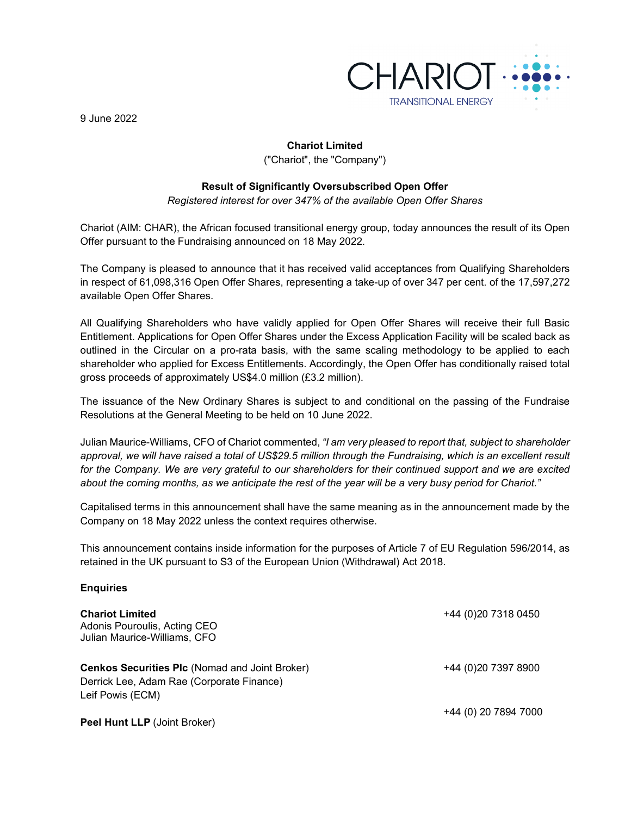

9 June 2022

# **Chariot Limited**

("Chariot", the "Company")

## **Result of Significantly Oversubscribed Open Offer**

*Registered interest for over 347% of the available Open Offer Shares*

Chariot (AIM: CHAR), the African focused transitional energy group, today announces the result of its Open Offer pursuant to the Fundraising announced on 18 May 2022.

The Company is pleased to announce that it has received valid acceptances from Qualifying Shareholders in respect of 61,098,316 Open Offer Shares, representing a take-up of over 347 per cent. of the 17,597,272 available Open Offer Shares.

All Qualifying Shareholders who have validly applied for Open Offer Shares will receive their full Basic Entitlement. Applications for Open Offer Shares under the Excess Application Facility will be scaled back as outlined in the Circular on a pro-rata basis, with the same scaling methodology to be applied to each shareholder who applied for Excess Entitlements. Accordingly, the Open Offer has conditionally raised total gross proceeds of approximately US\$4.0 million (£3.2 million).

The issuance of the New Ordinary Shares is subject to and conditional on the passing of the Fundraise Resolutions at the General Meeting to be held on 10 June 2022.

Julian Maurice-Williams, CFO of Chariot commented, *"I am very pleased to report that, subject to shareholder approval, we will have raised a total of US\$29.5 million through the Fundraising, which is an excellent result for the Company. We are very grateful to our shareholders for their continued support and we are excited about the coming months, as we anticipate the rest of the year will be a very busy period for Chariot."*

Capitalised terms in this announcement shall have the same meaning as in the announcement made by the Company on 18 May 2022 unless the context requires otherwise.

This announcement contains inside information for the purposes of Article 7 of EU Regulation 596/2014, as retained in the UK pursuant to S3 of the European Union (Withdrawal) Act 2018.

#### **Enquiries**

| <b>Chariot Limited</b><br>Adonis Pouroulis, Acting CEO<br>Julian Maurice-Williams, CFO             | +44 (0) 20 7318 0450 |
|----------------------------------------------------------------------------------------------------|----------------------|
| <b>Cenkos Securities PIc (Nomad and Joint Broker)</b><br>Derrick Lee, Adam Rae (Corporate Finance) | +44 (0)20 7397 8900  |
| Leif Powis (ECM)<br><b>Peel Hunt LLP</b> (Joint Broker)                                            | +44 (0) 20 7894 7000 |